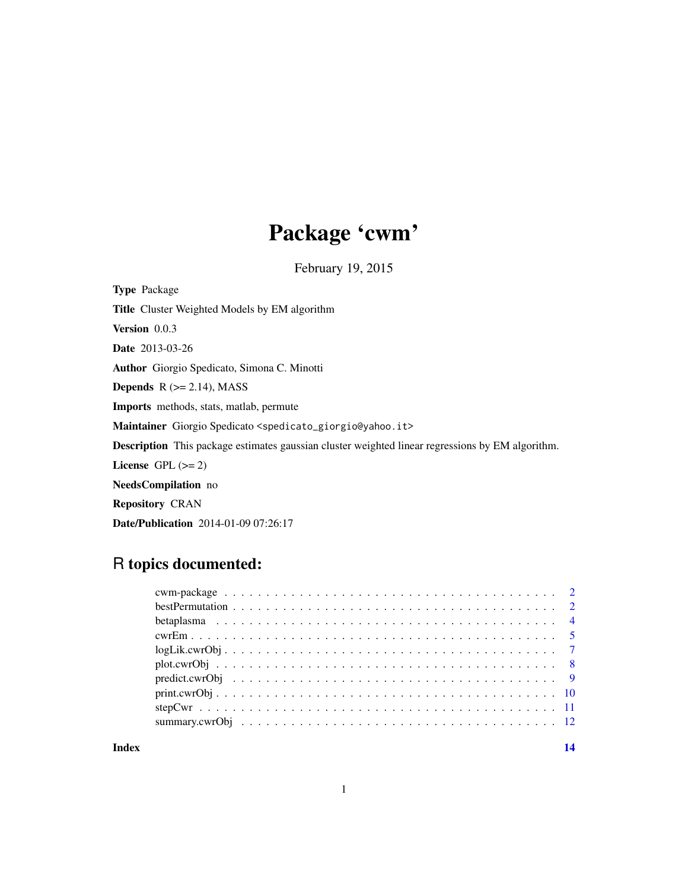## Package 'cwm'

February 19, 2015

Type Package Title Cluster Weighted Models by EM algorithm Version 0.0.3 Date 2013-03-26 Author Giorgio Spedicato, Simona C. Minotti **Depends**  $R$  ( $>= 2.14$ ), MASS Imports methods, stats, matlab, permute Maintainer Giorgio Spedicato <spedicato\_giorgio@yahoo.it> Description This package estimates gaussian cluster weighted linear regressions by EM algorithm. License GPL  $(>= 2)$ NeedsCompilation no Repository CRAN Date/Publication 2014-01-09 07:26:17

## R topics documented:

#### **Index** and the contract of the contract of the contract of the contract of the contract of the contract of the contract of the contract of the contract of the contract of the contract of the contract of the contract of th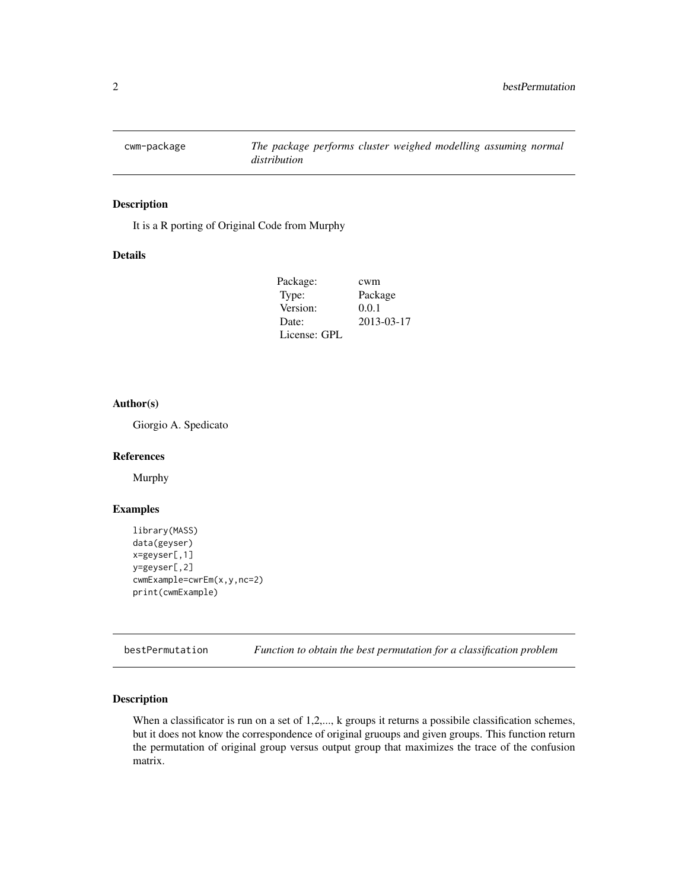<span id="page-1-0"></span>

It is a R porting of Original Code from Murphy

#### Details

| Package:     | cwm        |
|--------------|------------|
| Type:        | Package    |
| Version:     | 0.0.1      |
| Date:        | 2013-03-17 |
| License: GPL |            |

#### Author(s)

Giorgio A. Spedicato

#### References

Murphy

#### Examples

```
library(MASS)
data(geyser)
x=geyser[,1]
y=geyser[,2]
cwmExample=cwrEm(x,y,nc=2)
print(cwmExample)
```
bestPermutation *Function to obtain the best permutation for a classification problem*

#### Description

When a classificator is run on a set of 1,2,..., k groups it returns a possibile classification schemes, but it does not know the correspondence of original gruoups and given groups. This function return the permutation of original group versus output group that maximizes the trace of the confusion matrix.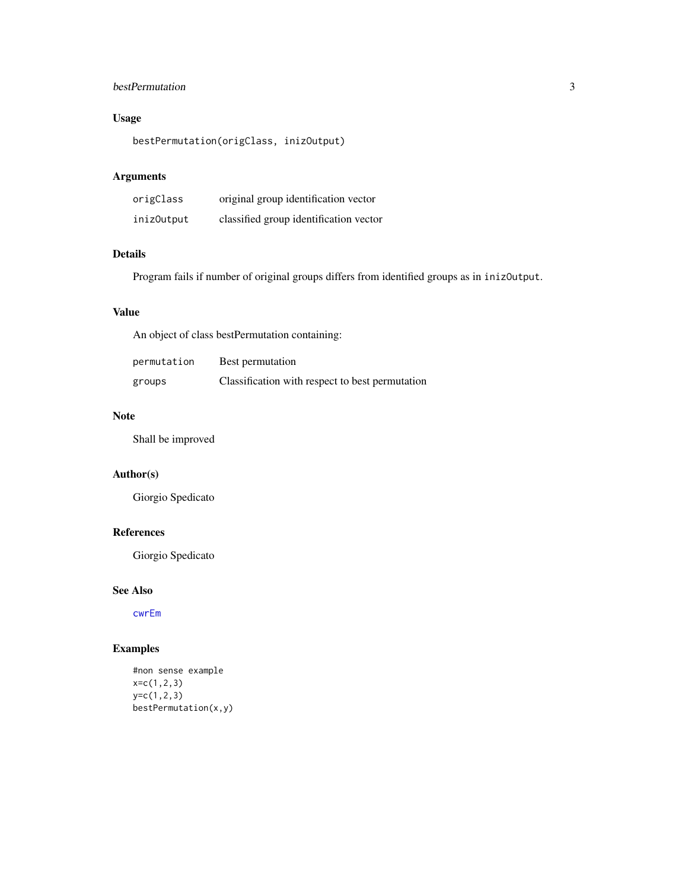## <span id="page-2-0"></span>bestPermutation 3

## Usage

bestPermutation(origClass, inizOutput)

## Arguments

| origClass  | original group identification vector   |
|------------|----------------------------------------|
| iniz0utput | classified group identification vector |

## Details

Program fails if number of original groups differs from identified groups as in inizOutput.

#### Value

An object of class bestPermutation containing:

| permutation | Best permutation                                |
|-------------|-------------------------------------------------|
| groups      | Classification with respect to best permutation |

#### Note

Shall be improved

#### Author(s)

Giorgio Spedicato

## References

Giorgio Spedicato

### See Also

[cwrEm](#page-4-1)

```
#non sense example
x=c(1,2,3)
y=c(1,2,3)
bestPermutation(x,y)
```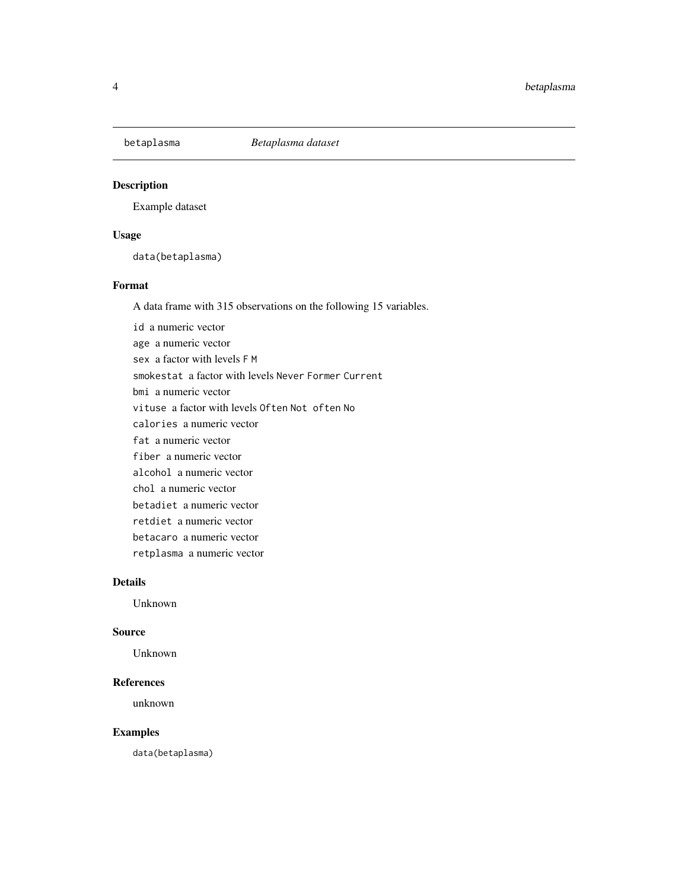<span id="page-3-0"></span>

Example dataset

## Usage

data(betaplasma)

## Format

A data frame with 315 observations on the following 15 variables.

id a numeric vector age a numeric vector sex a factor with levels F M smokestat a factor with levels Never Former Current bmi a numeric vector vituse a factor with levels Often Not often No calories a numeric vector fat a numeric vector fiber a numeric vector alcohol a numeric vector chol a numeric vector betadiet a numeric vector retdiet a numeric vector betacaro a numeric vector retplasma a numeric vector

#### Details

Unknown

#### Source

Unknown

#### References

unknown

## Examples

data(betaplasma)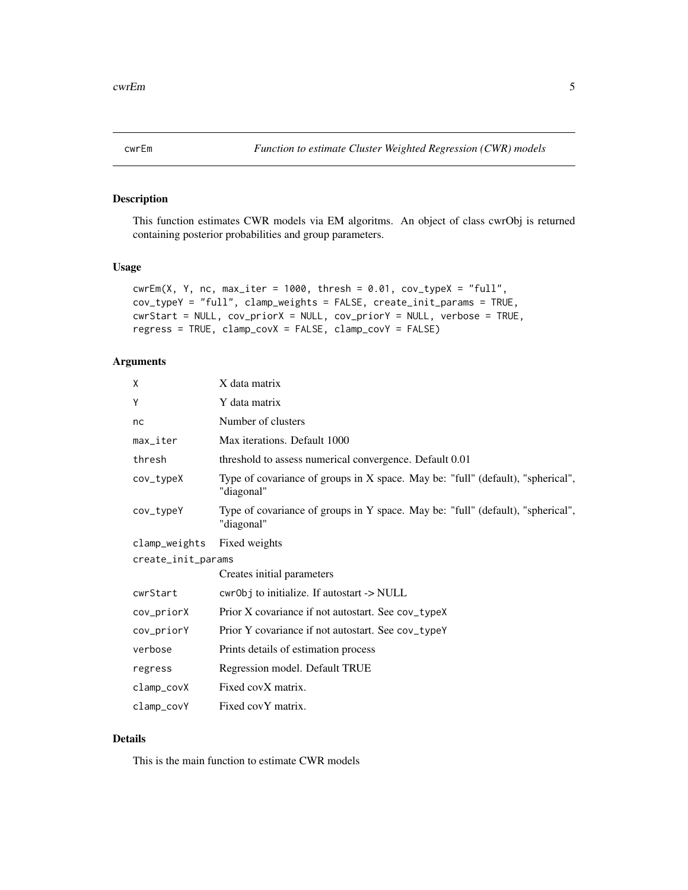<span id="page-4-1"></span><span id="page-4-0"></span>

This function estimates CWR models via EM algoritms. An object of class cwrObj is returned containing posterior probabilities and group parameters.

#### Usage

```
cwrEm(X, Y, nc, max\_iter = 1000, thresh = 0.01, cov_typeX = "full",cov_typeY = "full", clamp_weights = FALSE, create_init_params = TRUE,
cwrStart = NULL, cov_priorX = NULL, cov_priorY = NULL, verbose = TRUE,
regress = TRUE, clamp_covX = FALSE, clamp_covY = FALSE)
```
#### Arguments

| X                      | X data matrix                                                                                 |
|------------------------|-----------------------------------------------------------------------------------------------|
| Υ                      | Y data matrix                                                                                 |
| nc                     | Number of clusters                                                                            |
| $max$ <sub>Liter</sub> | Max iterations. Default 1000                                                                  |
| thresh                 | threshold to assess numerical convergence. Default 0.01                                       |
| cov_typeX              | Type of covariance of groups in X space. May be: "full" (default), "spherical",<br>"diagonal" |
| cov_typeY              | Type of covariance of groups in Y space. May be: "full" (default), "spherical",<br>"diagonal" |
| clamp_weights          | Fixed weights                                                                                 |
| create_init_params     |                                                                                               |
|                        | Creates initial parameters                                                                    |
| cwrStart               | cwr0bj to initialize. If autostart -> NULL                                                    |
| cov_priorX             | Prior X covariance if not autostart. See cov_typeX                                            |
| cov_priorY             | Prior Y covariance if not autostart. See cov_typeY                                            |
| verbose                | Prints details of estimation process                                                          |
| regress                | Regression model. Default TRUE                                                                |
| clamp_covX             | Fixed covX matrix.                                                                            |
| clamp_covY             | Fixed covY matrix.                                                                            |

#### Details

This is the main function to estimate CWR models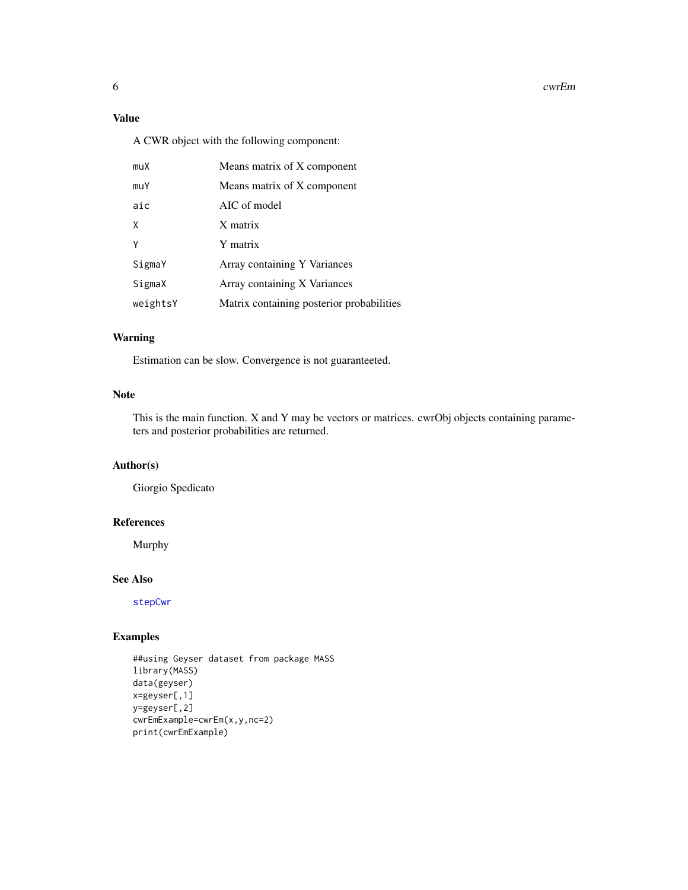#### <span id="page-5-0"></span>6 cwrEm and the contract of the contract of the contract of the contract of the contract of the contract of the contract of the contract of the contract of the contract of the contract of the contract of the contract of th

## Value

A CWR object with the following component:

| muX      | Means matrix of X component               |
|----------|-------------------------------------------|
| muY      | Means matrix of X component               |
| aic      | AIC of model                              |
| χ        | X matrix                                  |
| γ        | Y matrix                                  |
| SigmaY   | Array containing Y Variances              |
| SigmaX   | Array containing X Variances              |
| weightsY | Matrix containing posterior probabilities |

## Warning

Estimation can be slow. Convergence is not guaranteeted.

#### Note

This is the main function. X and Y may be vectors or matrices. cwrObj objects containing parameters and posterior probabilities are returned.

#### Author(s)

Giorgio Spedicato

#### References

Murphy

#### See Also

[stepCwr](#page-10-1)

```
##using Geyser dataset from package MASS
library(MASS)
data(geyser)
x=geyser[,1]
y=geyser[,2]
cwrEmExample=cwrEm(x,y,nc=2)
print(cwrEmExample)
```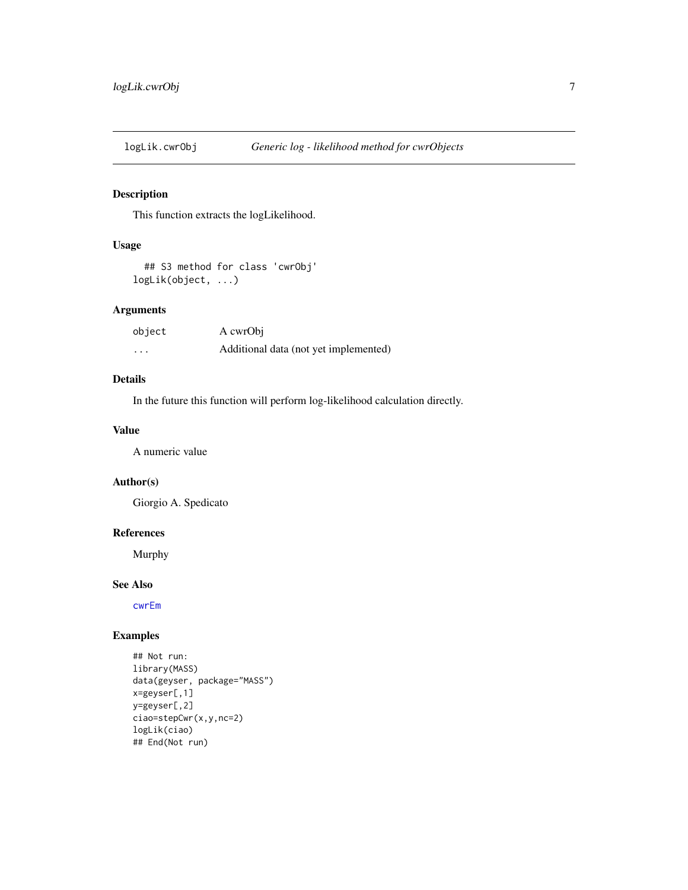<span id="page-6-0"></span>

This function extracts the logLikelihood.

## Usage

```
## S3 method for class 'cwrObj'
logLik(object, ...)
```
#### Arguments

| object  | A cwrObi                              |
|---------|---------------------------------------|
| $\cdot$ | Additional data (not yet implemented) |

## Details

In the future this function will perform log-likelihood calculation directly.

#### Value

A numeric value

## Author(s)

Giorgio A. Spedicato

#### References

Murphy

#### See Also

[cwrEm](#page-4-1)

```
## Not run:
library(MASS)
data(geyser, package="MASS")
x=geyser[,1]
y=geyser[,2]
ciao=stepCwr(x,y,nc=2)
logLik(ciao)
## End(Not run)
```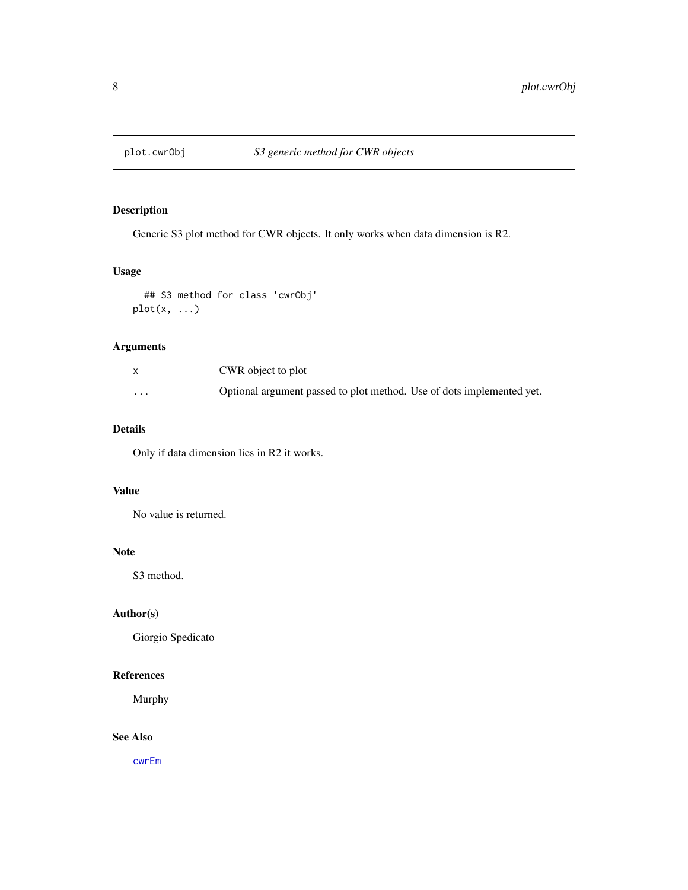<span id="page-7-1"></span><span id="page-7-0"></span>

Generic S3 plot method for CWR objects. It only works when data dimension is R2.

## Usage

```
## S3 method for class 'cwrObj'
plot(x, ...)
```
### Arguments

|          | CWR object to plot                                                    |
|----------|-----------------------------------------------------------------------|
| $\cdots$ | Optional argument passed to plot method. Use of dots implemented yet. |

## Details

Only if data dimension lies in R2 it works.

## Value

No value is returned.

## Note

S3 method.

#### Author(s)

Giorgio Spedicato

## References

Murphy

## See Also

[cwrEm](#page-4-1)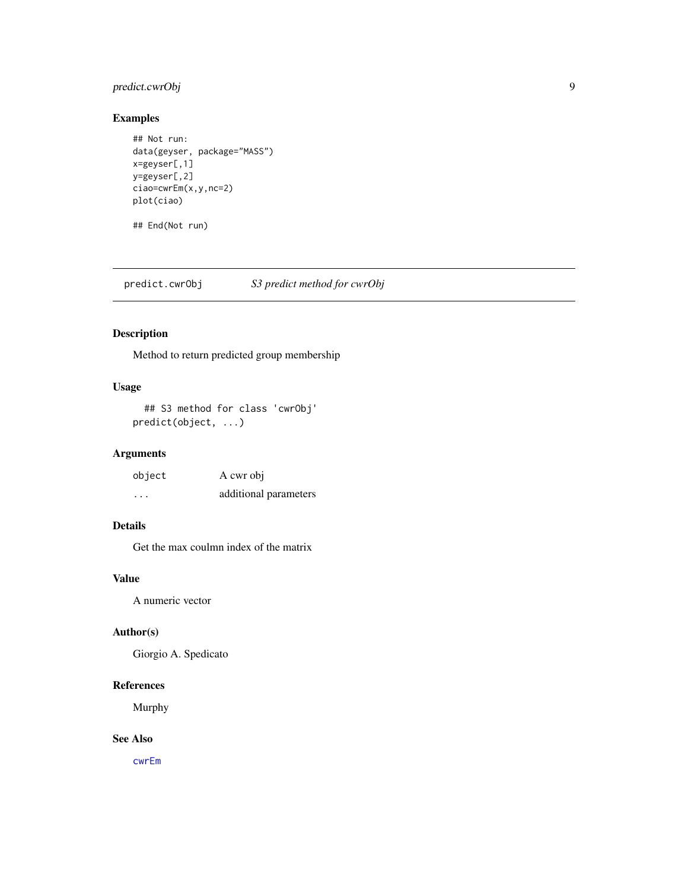## <span id="page-8-0"></span>predict.cwrObj 9

## Examples

```
## Not run:
data(geyser, package="MASS")
x=geyser[,1]
y=geyser[,2]
ciao=cwrEm(x,y,nc=2)
plot(ciao)
```
## End(Not run)

predict.cwrObj *S3 predict method for cwrObj*

## Description

Method to return predicted group membership

## Usage

```
## S3 method for class 'cwrObj'
predict(object, ...)
```
## Arguments

| object               | A cwr obj             |
|----------------------|-----------------------|
| $\ddot{\phantom{0}}$ | additional parameters |

## Details

Get the max coulmn index of the matrix

## Value

A numeric vector

#### Author(s)

Giorgio A. Spedicato

#### References

Murphy

## See Also

[cwrEm](#page-4-1)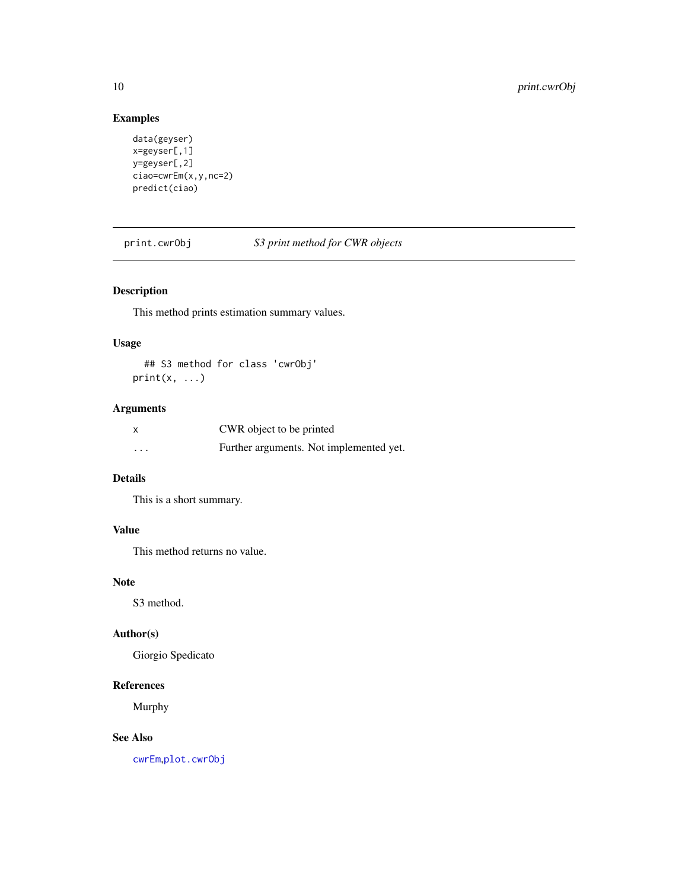## Examples

```
data(geyser)
x=geyser[,1]
y=geyser[,2]
ciao=cwrEm(x,y,nc=2)
predict(ciao)
```
print.cwrObj *S3 print method for CWR objects*

## Description

This method prints estimation summary values.

## Usage

## S3 method for class 'cwrObj'  $print(x, \ldots)$ 

## Arguments

|                         | CWR object to be printed                |
|-------------------------|-----------------------------------------|
| $\cdot$ $\cdot$ $\cdot$ | Further arguments. Not implemented yet. |

#### Details

This is a short summary.

## Value

This method returns no value.

#### Note

S3 method.

#### Author(s)

Giorgio Spedicato

#### References

Murphy

## See Also

[cwrEm](#page-4-1),[plot.cwrObj](#page-7-1)

<span id="page-9-0"></span>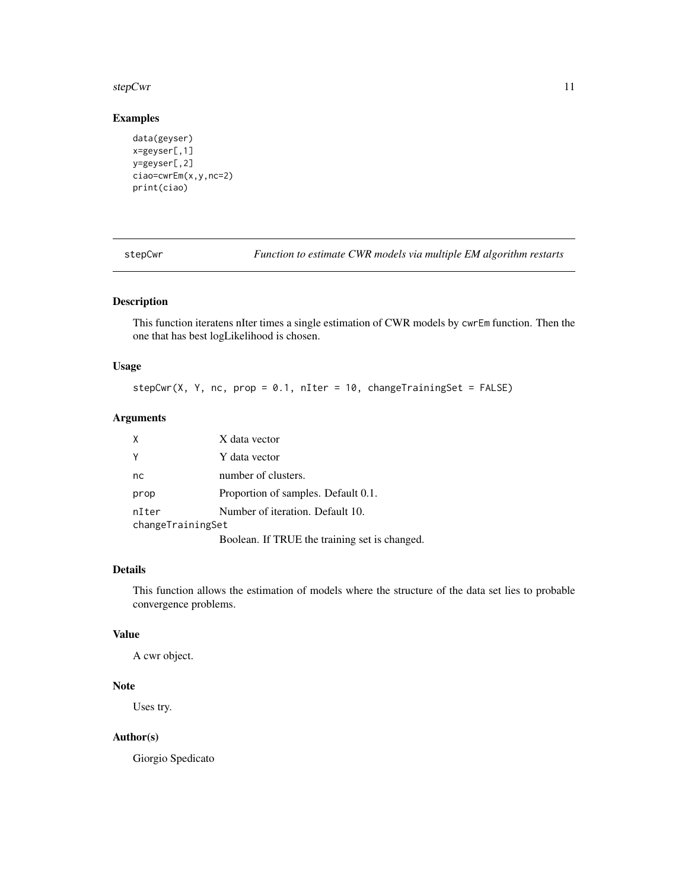#### <span id="page-10-0"></span>stepCwr 11

#### Examples

```
data(geyser)
x=geyser[,1]
y=geyser[,2]
ciao=cwrEm(x,y,nc=2)
print(ciao)
```
<span id="page-10-1"></span>stepCwr *Function to estimate CWR models via multiple EM algorithm restarts*

## Description

This function iteratens nIter times a single estimation of CWR models by cwrEm function. Then the one that has best logLikelihood is chosen.

## Usage

 $stepCwr(X, Y, nc, prop = 0.1, nIter = 10, changeTrainingSet = FALSE)$ 

#### Arguments

| X                 | X data vector                                             |
|-------------------|-----------------------------------------------------------|
| Y                 | Y data vector                                             |
| nc                | number of clusters.                                       |
| prop              | Proportion of samples. Default 0.1.                       |
| nIter             | Number of iteration. Default 10.                          |
| changeTrainingSet |                                                           |
|                   | $\mathbf{r}$ 1 remotive 1 . $\mathbf{r}$ 1 . $\mathbf{r}$ |

Boolean. If TRUE the training set is changed.

#### Details

This function allows the estimation of models where the structure of the data set lies to probable convergence problems.

#### Value

A cwr object.

## Note

Uses try.

## Author(s)

Giorgio Spedicato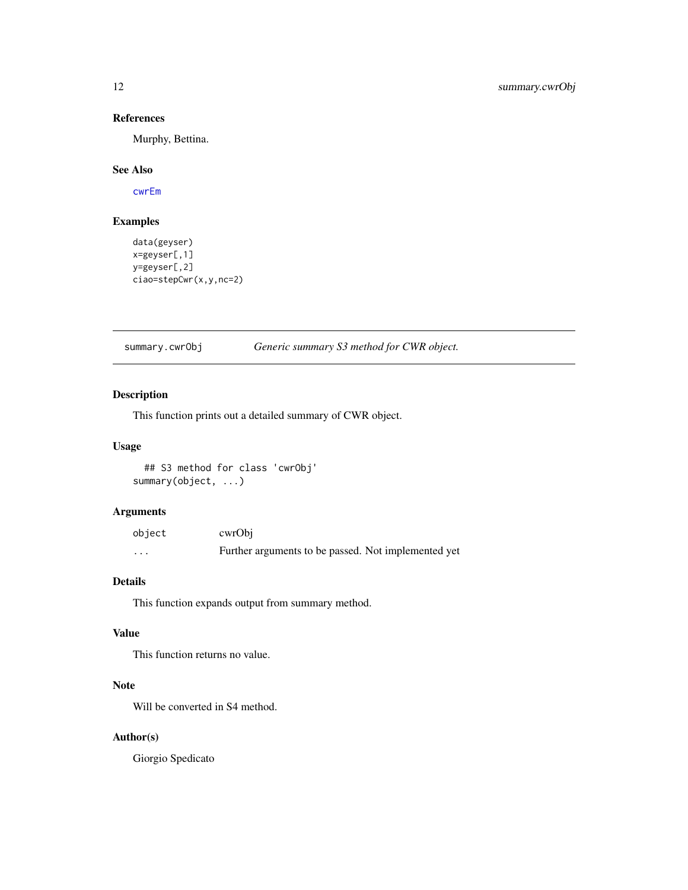#### References

Murphy, Bettina.

#### See Also

[cwrEm](#page-4-1)

## Examples

```
data(geyser)
x=geyser[,1]
y=geyser[,2]
ciao=stepCwr(x,y,nc=2)
```
## summary.cwrObj *Generic summary S3 method for CWR object.*

## Description

This function prints out a detailed summary of CWR object.

#### Usage

```
## S3 method for class 'cwrObj'
summary(object, ...)
```
## Arguments

| object | cwrObi                                              |
|--------|-----------------------------------------------------|
| .      | Further arguments to be passed. Not implemented yet |

## Details

This function expands output from summary method.

#### Value

This function returns no value.

## Note

Will be converted in S4 method.

#### Author(s)

Giorgio Spedicato

<span id="page-11-0"></span>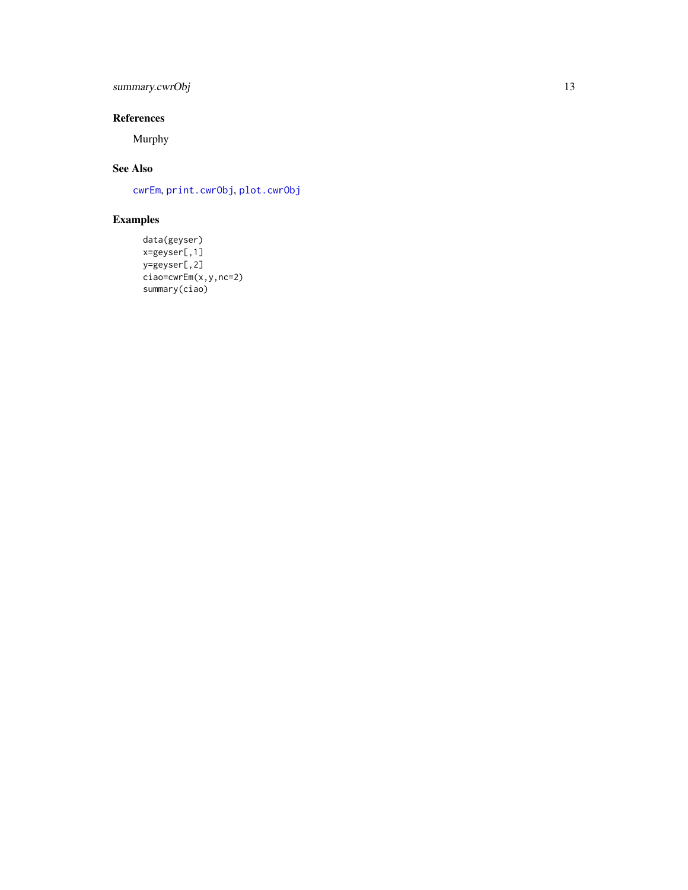## <span id="page-12-0"></span>summary.cwrObj 13

## References

Murphy

## See Also

[cwrEm](#page-4-1) , [print.cwrObj](#page-9-1) , [plot.cwrObj](#page-7-1)

```
data(geyser)
x=geyser[,1]
y=geyser[,2]
ciao=cwrEm(x,y,nc=2)
summary(ciao)
```